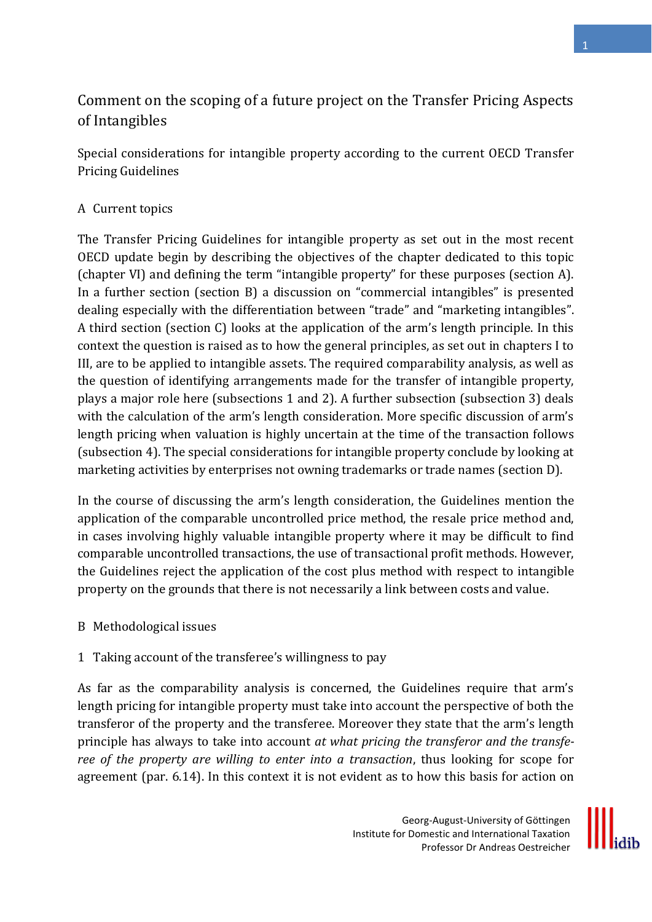# Comment on the scoping of a future project on the Transfer Pricing Aspects of Intangibles

Special considerations for intangible property according to the current OECD Transfer Pricing Guidelines

## A. Current topics

The Transfer Pricing Guidelines for intangible property as set out in the most recent OECD update begin by describing the objectives of the chapter dedicated to this topic (chapter VI) and defining the term "intangible property" for these purposes (section A). In a further section (section B) a discussion on "commercial intangibles" is presented dealing especially with the differentiation between "trade" and "marketing intangibles". A third section (section C) looks at the application of the arm's length principle. In this context the question is raised as to how the general principles, as set out in chapters I to III, are to be applied to intangible assets. The required comparability analysis, as well as the question of identifying arrangements made for the transfer of intangible property, plays a major role here (subsections 1 and 2). A further subsection (subsection 3) deals with the calculation of the arm's length consideration. More specific discussion of arm's length pricing when valuation is highly uncertain at the time of the transaction follows (subsection 4). The special considerations for intangible property conclude by looking at marketing activities by enterprises not owning trademarks or trade names (section D).

In the course of discussing the arm's length consideration, the Guidelines mention the application of the comparable uncontrolled price method, the resale price method and, in cases involving highly valuable intangible property where it may be difficult to find comparable uncontrolled transactions, the use of transactional profit methods. However, the Guidelines reject the application of the cost plus method with respect to intangible property on the grounds that there is not necessarily a link between costs and value.

B Methodological issues

### 1 Taking account of the transferee's willingness to pay

As far as the comparability analysis is concerned, the Guidelines require that arm's length pricing for intangible property must take into account the perspective of both the transferor of the property and the transferee. Moreover they state that the arm's length principle has always to take into account *at what pricing the transferor and the transferee of the property are willing to enter into a transaction*, thus looking for scope for agreement (par. 6.14). In this context it is not evident as to how this basis for action on

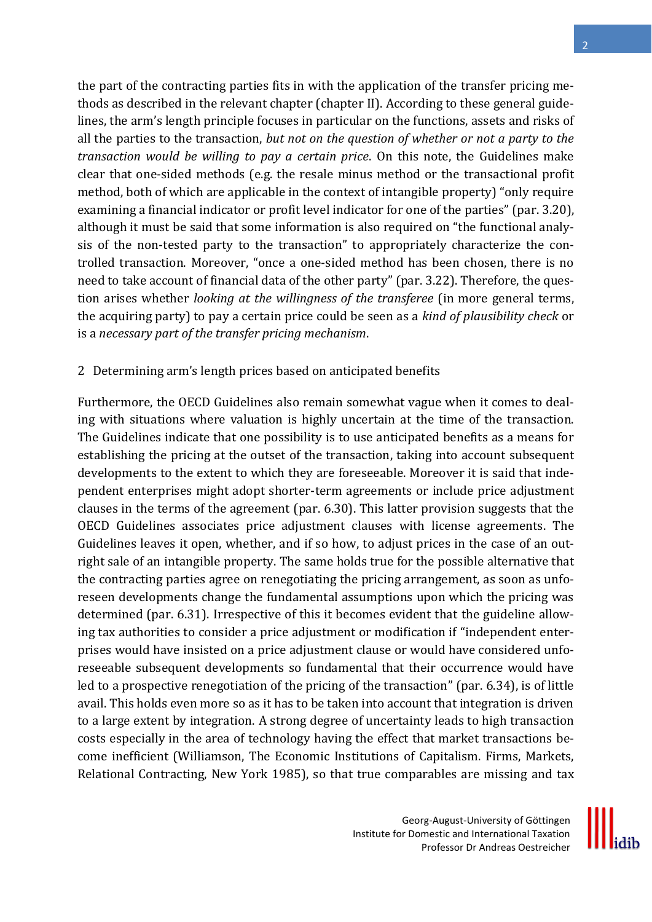the part of the contracting parties fits in with the application of the transfer pricing methods as described in the relevant chapter (chapter II). According to these general guidelines, the arm's length principle focuses in particular on the functions, assets and risks of all the parties to the transaction, *but not on the question of whether or not a party to the transaction would be willing to pay a certain price*. On this note, the Guidelines make clear that one-sided methods (e.g. the resale minus method or the transactional profit method, both of which are applicable in the context of intangible property) "only require examining a financial indicator or profit level indicator for one of the parties" (par. 3.20), although it must be said that some information is also required on "the functional analysis of the non-tested party to the transaction" to appropriately characterize the controlled transaction. Moreover, "once a one-sided method has been chosen, there is no need to take account of financial data of the other party" (par. 3.22). Therefore, the question arises whether *looking at the willingness of the transferee* (in more general terms, the acquiring party) to pay a certain price could be seen as a *kind of plausibility check* or is a *necessary part of the transfer pricing mechanism*.

#### 2 Determining arm's length prices based on anticipated benefits

Furthermore, the OECD Guidelines also remain somewhat vague when it comes to dealing with situations where valuation is highly uncertain at the time of the transaction. The Guidelines indicate that one possibility is to use anticipated benefits as a means for establishing the pricing at the outset of the transaction, taking into account subsequent developments to the extent to which they are foreseeable. Moreover it is said that independent enterprises might adopt shorter-term agreements or include price adjustment clauses in the terms of the agreement (par. 6.30). This latter provision suggests that the OECD Guidelines associates price adjustment clauses with license agreements. The Guidelines leaves it open, whether, and if so how, to adjust prices in the case of an outright sale of an intangible property. The same holds true for the possible alternative that the contracting parties agree on renegotiating the pricing arrangement, as soon as unforeseen developments change the fundamental assumptions upon which the pricing was determined (par. 6.31). Irrespective of this it becomes evident that the guideline allowing tax authorities to consider a price adjustment or modification if "independent enterprises would have insisted on a price adjustment clause or would have considered unforeseeable subsequent developments so fundamental that their occurrence would have led to a prospective renegotiation of the pricing of the transaction" (par. 6.34), is of little avail. This holds even more so as it has to be taken into account that integration is driven to a large extent by integration. A strong degree of uncertainty leads to high transaction costs especially in the area of technology having the effect that market transactions become inefficient (Williamson, The Economic Institutions of Capitalism. Firms, Markets, Relational Contracting, New York 1985), so that true comparables are missing and tax

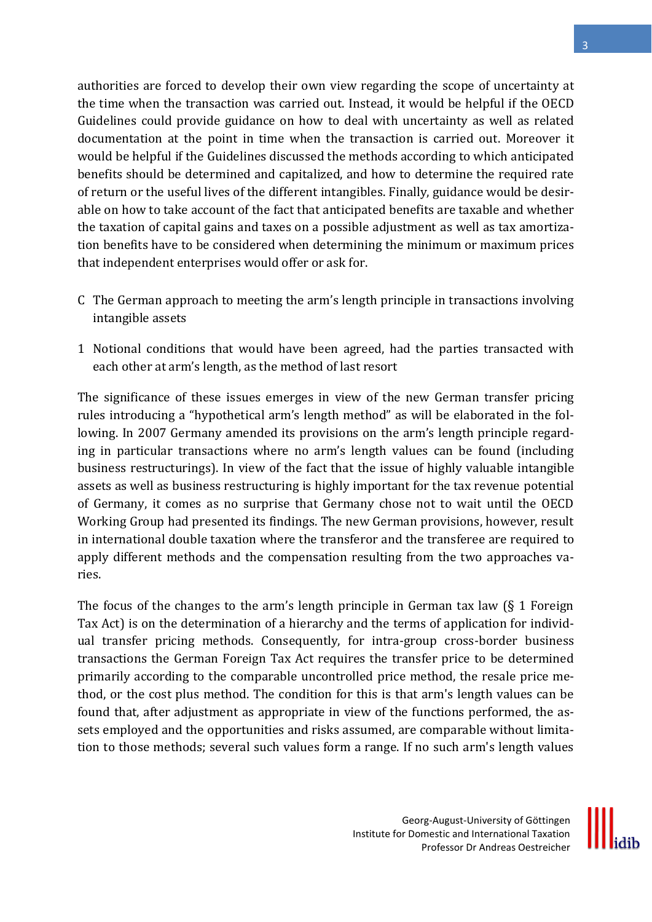authorities are forced to develop their own view regarding the scope of uncertainty at the time when the transaction was carried out. Instead, it would be helpful if the OECD Guidelines could provide guidance on how to deal with uncertainty as well as related documentation at the point in time when the transaction is carried out. Moreover it would be helpful if the Guidelines discussed the methods according to which anticipated benefits should be determined and capitalized, and how to determine the required rate of return or the useful lives of the different intangibles. Finally, guidance would be desirable on how to take account of the fact that anticipated benefits are taxable and whether the taxation of capital gains and taxes on a possible adjustment as well as tax amortization benefits have to be considered when determining the minimum or maximum prices that independent enterprises would offer or ask for.

- C The German approach to meeting the arm's length principle in transactions involving intangible assets
- 1 Notional conditions that would have been agreed, had the parties transacted with each other at arm's length, as the method of last resort

The significance of these issues emerges in view of the new German transfer pricing rules introducing a "hypothetical arm's length method" as will be elaborated in the following. In 2007 Germany amended its provisions on the arm's length principle regarding in particular transactions where no arm's length values can be found (including business restructurings). In view of the fact that the issue of highly valuable intangible assets as well as business restructuring is highly important for the tax revenue potential of Germany, it comes as no surprise that Germany chose not to wait until the OECD Working Group had presented its findings. The new German provisions, however, result in international double taxation where the transferor and the transferee are required to apply different methods and the compensation resulting from the two approaches varies.

The focus of the changes to the arm's length principle in German tax law (§ 1 Foreign Tax Act) is on the determination of a hierarchy and the terms of application for individual transfer pricing methods. Consequently, for intra-group cross-border business transactions the German Foreign Tax Act requires the transfer price to be determined primarily according to the comparable uncontrolled price method, the resale price method, or the cost plus method. The condition for this is that arm's length values can be found that, after adjustment as appropriate in view of the functions performed, the assets employed and the opportunities and risks assumed, are comparable without limitation to those methods; several such values form a range. If no such arm's length values

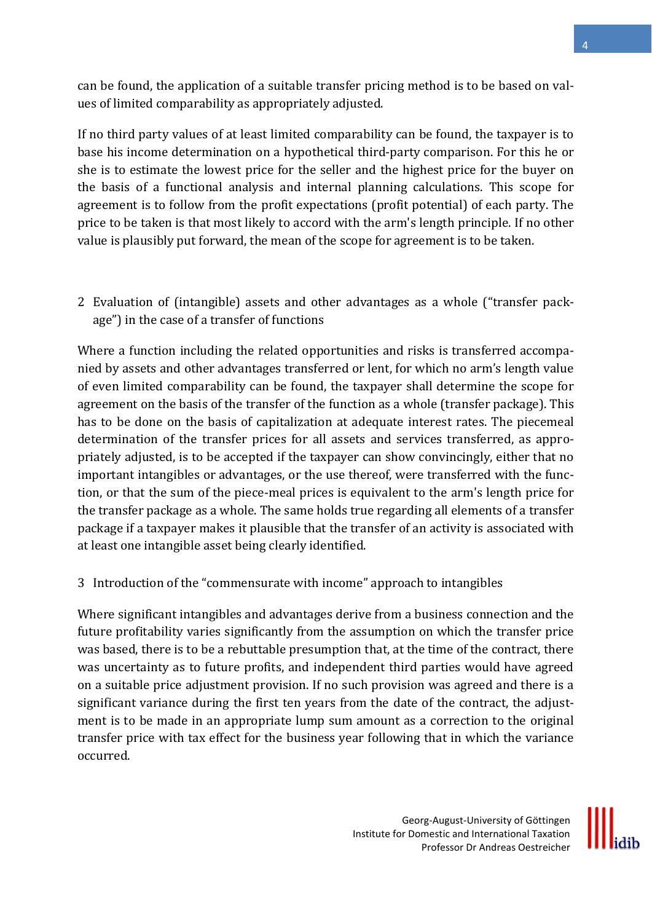can be found, the application of a suitable transfer pricing method is to be based on values of limited comparability as appropriately adjusted.

If no third party values of at least limited comparability can be found, the taxpayer is to base his income determination on a hypothetical third‐party comparison. For this he or she is to estimate the lowest price for the seller and the highest price for the buyer on the basis of a functional analysis and internal planning calculations. This scope for agreement is to follow from the profit expectations (profit potential) of each party. The price to be taken is that most likely to accord with the arm's length principle. If no other value is plausibly put forward, the mean of the scope for agreement is to be taken.

2 Evaluation of (intangible) assets and other advantages as a whole ("transfer package") in the case of a transfer of functions

Where a function including the related opportunities and risks is transferred accompanied by assets and other advantages transferred or lent, for which no arm's length value of even limited comparability can be found, the taxpayer shall determine the scope for agreement on the basis of the transfer of the function as a whole (transfer package). This has to be done on the basis of capitalization at adequate interest rates. The piecemeal determination of the transfer prices for all assets and services transferred, as appropriately adjusted, is to be accepted if the taxpayer can show convincingly, either that no important intangibles or advantages, or the use thereof, were transferred with the function, or that the sum of the piece‐meal prices is equivalent to the arm's length price for the transfer package as a whole. The same holds true regarding all elements of a transfer package if a taxpayer makes it plausible that the transfer of an activity is associated with at least one intangible asset being clearly identified.

### 3 Introduction of the "commensurate with income" approach to intangibles

Where significant intangibles and advantages derive from a business connection and the future profitability varies significantly from the assumption on which the transfer price was based, there is to be a rebuttable presumption that, at the time of the contract, there was uncertainty as to future profits, and independent third parties would have agreed on a suitable price adjustment provision. If no such provision was agreed and there is a significant variance during the first ten years from the date of the contract, the adjustment is to be made in an appropriate lump sum amount as a correction to the original transfer price with tax effect for the business year following that in which the variance occurred.

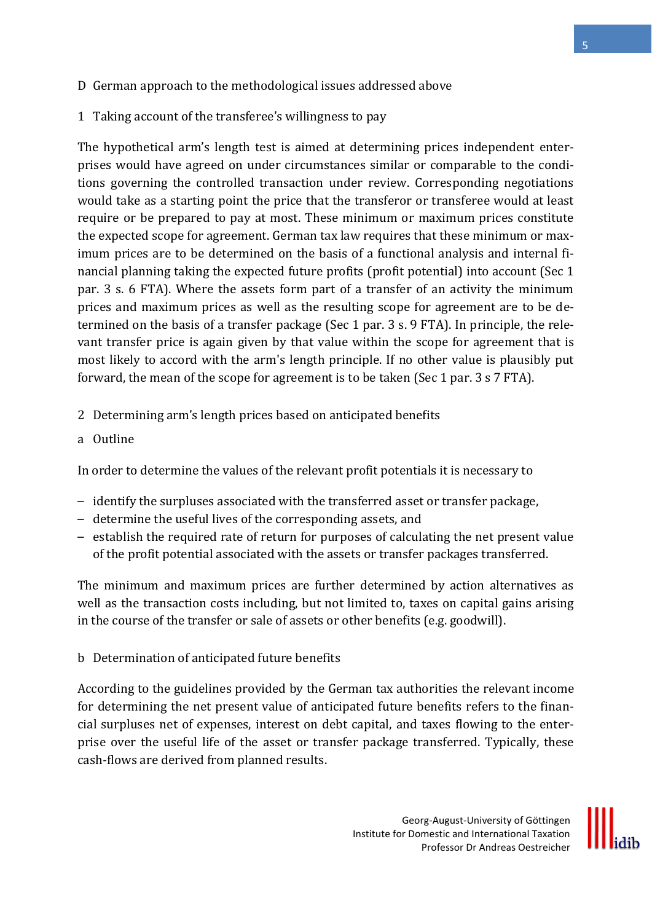- D German approach to the methodological issues addressed above
- 1 Taking account of the transferee's willingness to pay

The hypothetical arm's length test is aimed at determining prices independent enterprises would have agreed on under circumstances similar or comparable to the conditions governing the controlled transaction under review. Corresponding negotiations would take as a starting point the price that the transferor or transferee would at least require or be prepared to pay at most. These minimum or maximum prices constitute the expected scope for agreement. German tax law requires that these minimum or maximum prices are to be determined on the basis of a functional analysis and internal financial planning taking the expected future profits (profit potential) into account (Sec 1 par. 3 s. 6 FTA). Where the assets form part of a transfer of an activity the minimum prices and maximum prices as well as the resulting scope for agreement are to be determined on the basis of a transfer package (Sec 1 par. 3 s. 9 FTA). In principle, the relevant transfer price is again given by that value within the scope for agreement that is most likely to accord with the arm's length principle. If no other value is plausibly put forward, the mean of the scope for agreement is to be taken (Sec 1 par. 3 s 7 FTA).

- 2 Determining arm's length prices based on anticipated benefits
- a Outline

In order to determine the values of the relevant profit potentials it is necessary to

- identify the surpluses associated with the transferred asset or transfer package,
- determine the useful lives of the corresponding assets, and
- establish the required rate of return for purposes of calculating the net present value of the profit potential associated with the assets or transfer packages transferred.

The minimum and maximum prices are further determined by action alternatives as well as the transaction costs including, but not limited to, taxes on capital gains arising in the course of the transfer or sale of assets or other benefits (e.g. goodwill).

### b Determination of anticipated future benefits

According to the guidelines provided by the German tax authorities the relevant income for determining the net present value of anticipated future benefits refers to the financial surpluses net of expenses, interest on debt capital, and taxes flowing to the enterprise over the useful life of the asset or transfer package transferred. Typically, these cash-flows are derived from planned results.

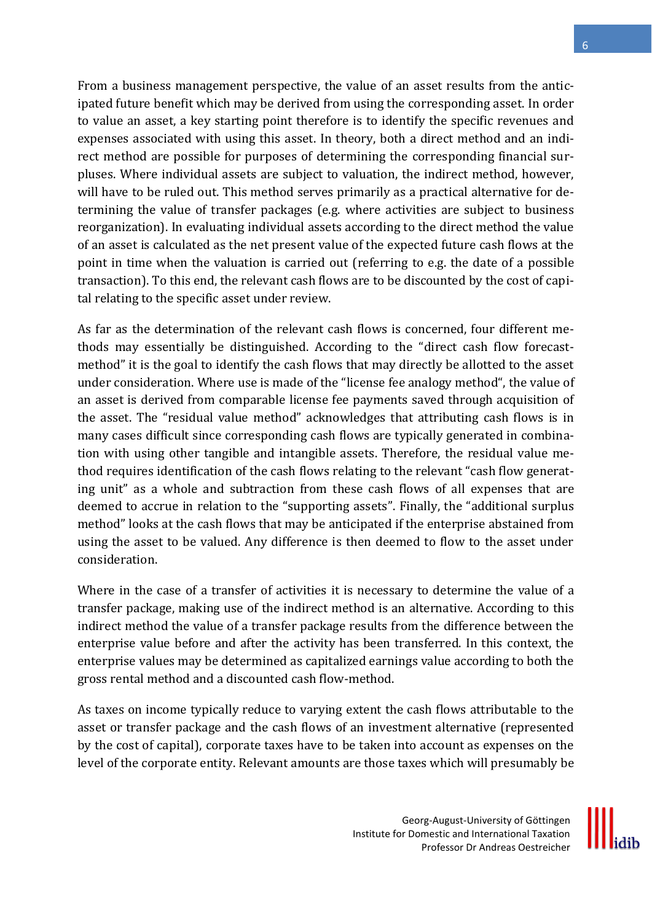From a business management perspective, the value of an asset results from the anticipated future benefit which may be derived from using the corresponding asset. In order to value an asset, a key starting point therefore is to identify the specific revenues and expenses associated with using this asset. In theory, both a direct method and an indirect method are possible for purposes of determining the corresponding financial surpluses. Where individual assets are subject to valuation, the indirect method, however, will have to be ruled out. This method serves primarily as a practical alternative for determining the value of transfer packages (e.g. where activities are subject to business reorganization). In evaluating individual assets according to the direct method the value of an asset is calculated as the net present value of the expected future cash flows at the point in time when the valuation is carried out (referring to e.g. the date of a possible transaction). To this end, the relevant cash flows are to be discounted by the cost of capital relating to the specific asset under review.

As far as the determination of the relevant cash flows is concerned, four different methods may essentially be distinguished. According to the "direct cash flow forecastmethod" it is the goal to identify the cash flows that may directly be allotted to the asset under consideration. Where use is made of the "license fee analogy method", the value of an asset is derived from comparable license fee payments saved through acquisition of the asset. The "residual value method" acknowledges that attributing cash flows is in many cases difficult since corresponding cash flows are typically generated in combination with using other tangible and intangible assets. Therefore, the residual value method requires identification of the cash flows relating to the relevant "cash flow generating unit" as a whole and subtraction from these cash flows of all expenses that are deemed to accrue in relation to the "supporting assets". Finally, the "additional surplus method" looks at the cash flows that may be anticipated if the enterprise abstained from using the asset to be valued. Any difference is then deemed to flow to the asset under consideration.

Where in the case of a transfer of activities it is necessary to determine the value of a transfer package, making use of the indirect method is an alternative. According to this indirect method the value of a transfer package results from the difference between the enterprise value before and after the activity has been transferred. In this context, the enterprise values may be determined as capitalized earnings value according to both the gross rental method and a discounted cash flow-method.

As taxes on income typically reduce to varying extent the cash flows attributable to the asset or transfer package and the cash flows of an investment alternative (represented by the cost of capital), corporate taxes have to be taken into account as expenses on the level of the corporate entity. Relevant amounts are those taxes which will presumably be

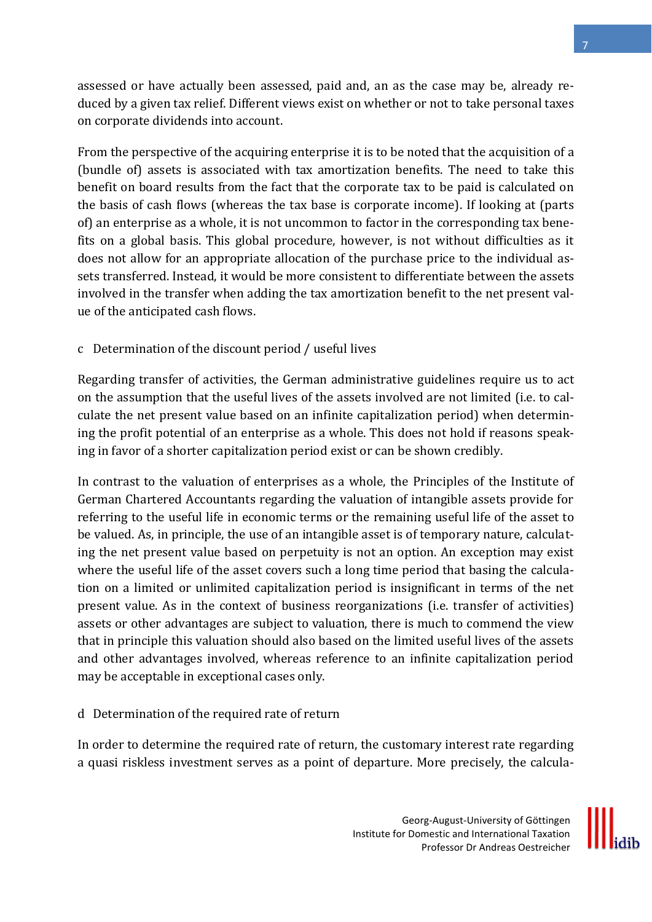assessed or have actually been assessed, paid and, an as the case may be, already reduced by a given tax relief. Different views exist on whether or not to take personal taxes on corporate dividends into account.

From the perspective of the acquiring enterprise it is to be noted that the acquisition of a (bundle of) assets is associated with tax amortization benefits. The need to take this benefit on board results from the fact that the corporate tax to be paid is calculated on the basis of cash flows (whereas the tax base is corporate income). If looking at (parts of) an enterprise as a whole, it is not uncommon to factor in the corresponding tax benefits on a global basis. This global procedure, however, is not without difficulties as it does not allow for an appropriate allocation of the purchase price to the individual assets transferred. Instead, it would be more consistent to differentiate between the assets involved in the transfer when adding the tax amortization benefit to the net present value of the anticipated cash flows.

### c Determination of the discount period / useful lives

Regarding transfer of activities, the German administrative guidelines require us to act on the assumption that the useful lives of the assets involved are not limited (i.e. to calculate the net present value based on an infinite capitalization period) when determining the profit potential of an enterprise as a whole. This does not hold if reasons speaking in favor of a shorter capitalization period exist or can be shown credibly.

In contrast to the valuation of enterprises as a whole, the Principles of the Institute of German Chartered Accountants regarding the valuation of intangible assets provide for referring to the useful life in economic terms or the remaining useful life of the asset to be valued. As, in principle, the use of an intangible asset is of temporary nature, calculating the net present value based on perpetuity is not an option. An exception may exist where the useful life of the asset covers such a long time period that basing the calculation on a limited or unlimited capitalization period is insignificant in terms of the net present value. As in the context of business reorganizations (i.e. transfer of activities) assets or other advantages are subject to valuation, there is much to commend the view that in principle this valuation should also based on the limited useful lives of the assets and other advantages involved, whereas reference to an infinite capitalization period may be acceptable in exceptional cases only.

### d Determination of the required rate of return

In order to determine the required rate of return, the customary interest rate regarding a quasi riskless investment serves as a point of departure. More precisely, the calcula-

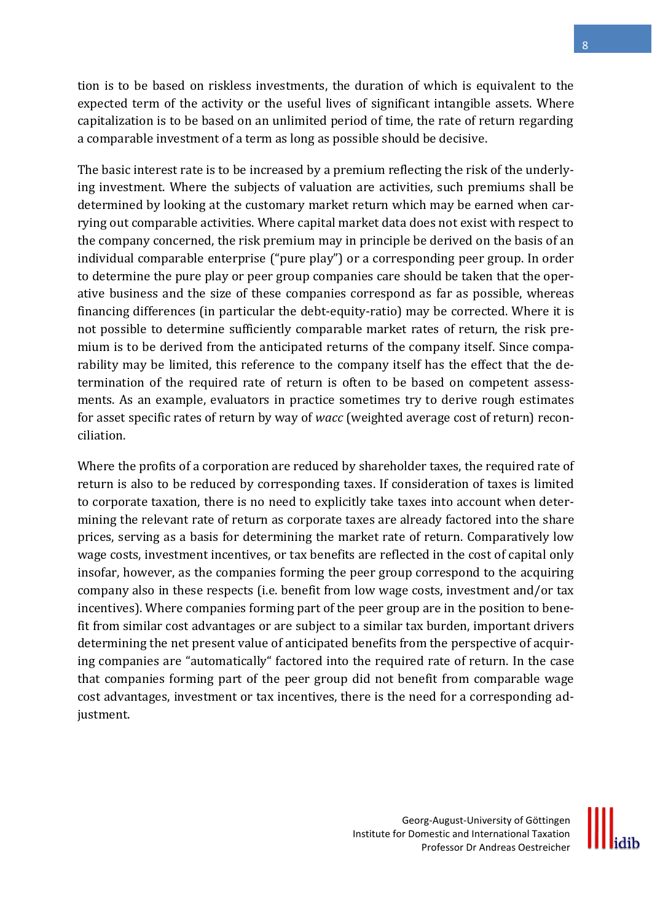tion is to be based on riskless investments, the duration of which is equivalent to the expected term of the activity or the useful lives of significant intangible assets. Where capitalization is to be based on an unlimited period of time, the rate of return regarding a comparable investment of a term as long as possible should be decisive.

The basic interest rate is to be increased by a premium reflecting the risk of the underlying investment. Where the subjects of valuation are activities, such premiums shall be determined by looking at the customary market return which may be earned when carrying out comparable activities. Where capital market data does not exist with respect to the company concerned, the risk premium may in principle be derived on the basis of an individual comparable enterprise ("pure play") or a corresponding peer group. In order to determine the pure play or peer group companies care should be taken that the operative business and the size of these companies correspond as far as possible, whereas financing differences (in particular the debt-equity-ratio) may be corrected. Where it is not possible to determine sufficiently comparable market rates of return, the risk premium is to be derived from the anticipated returns of the company itself. Since comparability may be limited, this reference to the company itself has the effect that the determination of the required rate of return is often to be based on competent assessments. As an example, evaluators in practice sometimes try to derive rough estimates for asset specific rates of return by way of *wacc* (weighted average cost of return) reconciliation.

Where the profits of a corporation are reduced by shareholder taxes, the required rate of return is also to be reduced by corresponding taxes. If consideration of taxes is limited to corporate taxation, there is no need to explicitly take taxes into account when determining the relevant rate of return as corporate taxes are already factored into the share prices, serving as a basis for determining the market rate of return. Comparatively low wage costs, investment incentives, or tax benefits are reflected in the cost of capital only insofar, however, as the companies forming the peer group correspond to the acquiring company also in these respects (i.e. benefit from low wage costs, investment and/or tax incentives). Where companies forming part of the peer group are in the position to benefit from similar cost advantages or are subject to a similar tax burden, important drivers determining the net present value of anticipated benefits from the perspective of acquiring companies are "automatically" factored into the required rate of return. In the case that companies forming part of the peer group did not benefit from comparable wage cost advantages, investment or tax incentives, there is the need for a corresponding adjustment.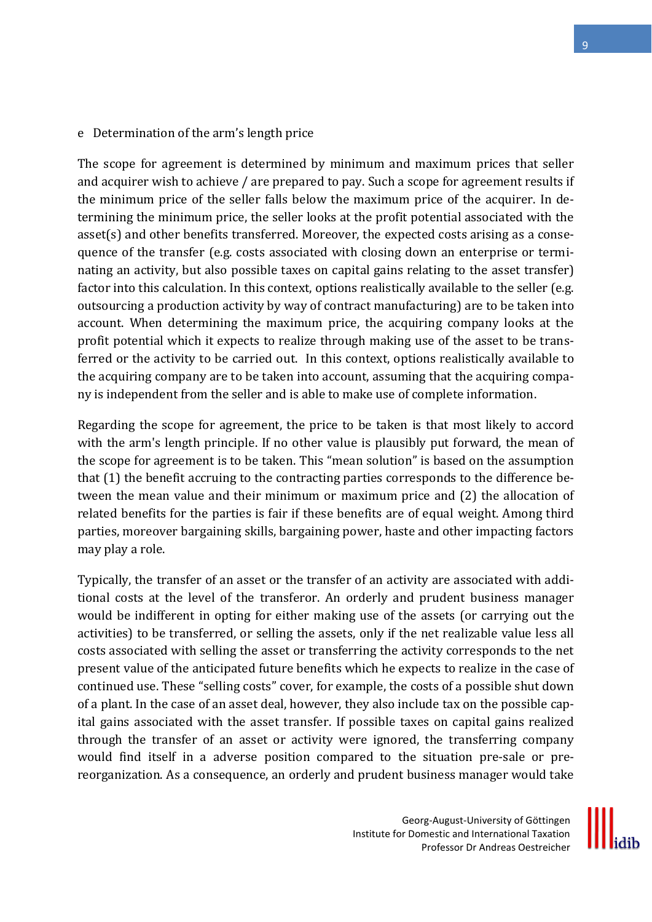#### e Determination of the arm's length price

The scope for agreement is determined by minimum and maximum prices that seller and acquirer wish to achieve / are prepared to pay. Such a scope for agreement results if the minimum price of the seller falls below the maximum price of the acquirer. In determining the minimum price, the seller looks at the profit potential associated with the asset(s) and other benefits transferred. Moreover, the expected costs arising as a consequence of the transfer (e.g. costs associated with closing down an enterprise or terminating an activity, but also possible taxes on capital gains relating to the asset transfer) factor into this calculation. In this context, options realistically available to the seller (e.g. outsourcing a production activity by way of contract manufacturing) are to be taken into account. When determining the maximum price, the acquiring company looks at the profit potential which it expects to realize through making use of the asset to be transferred or the activity to be carried out. In this context, options realistically available to the acquiring company are to be taken into account, assuming that the acquiring company is independent from the seller and is able to make use of complete information.

Regarding the scope for agreement, the price to be taken is that most likely to accord with the arm's length principle. If no other value is plausibly put forward, the mean of the scope for agreement is to be taken. This "mean solution" is based on the assumption that (1) the benefit accruing to the contracting parties corresponds to the difference between the mean value and their minimum or maximum price and (2) the allocation of related benefits for the parties is fair if these benefits are of equal weight. Among third parties, moreover bargaining skills, bargaining power, haste and other impacting factors may play a role.

Typically, the transfer of an asset or the transfer of an activity are associated with additional costs at the level of the transferor. An orderly and prudent business manager would be indifferent in opting for either making use of the assets (or carrying out the activities) to be transferred, or selling the assets, only if the net realizable value less all costs associated with selling the asset or transferring the activity corresponds to the net present value of the anticipated future benefits which he expects to realize in the case of continued use. These "selling costs" cover, for example, the costs of a possible shut down of a plant. In the case of an asset deal, however, they also include tax on the possible capital gains associated with the asset transfer. If possible taxes on capital gains realized through the transfer of an asset or activity were ignored, the transferring company would find itself in a adverse position compared to the situation pre-sale or prereorganization. As a consequence, an orderly and prudent business manager would take

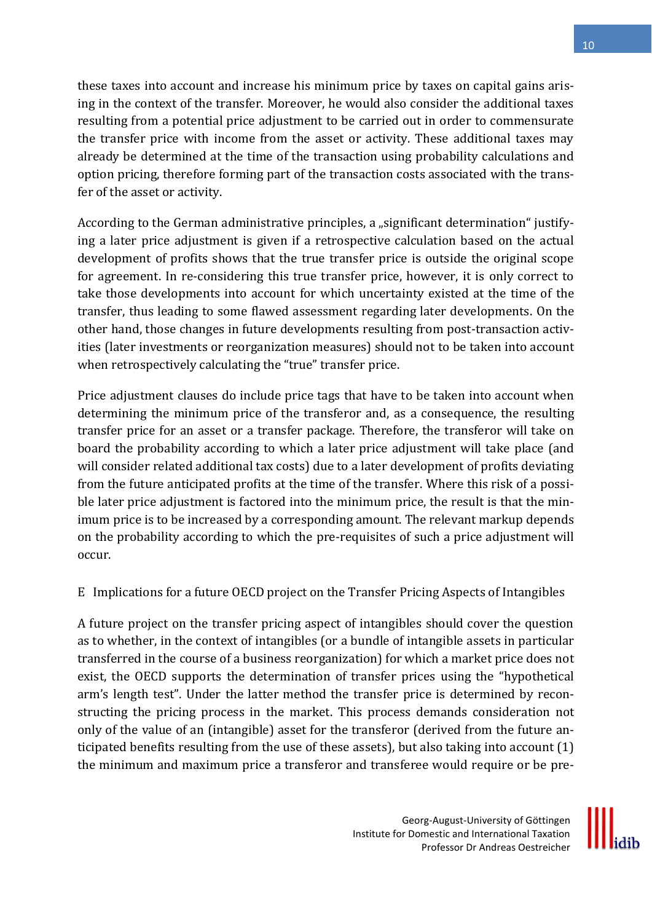these taxes into account and increase his minimum price by taxes on capital gains arising in the context of the transfer. Moreover, he would also consider the additional taxes resulting from a potential price adjustment to be carried out in order to commensurate the transfer price with income from the asset or activity. These additional taxes may already be determined at the time of the transaction using probability calculations and option pricing, therefore forming part of the transaction costs associated with the transfer of the asset or activity.

According to the German administrative principles, a "significant determination" justifying a later price adjustment is given if a retrospective calculation based on the actual development of profits shows that the true transfer price is outside the original scope for agreement. In re-considering this true transfer price, however, it is only correct to take those developments into account for which uncertainty existed at the time of the transfer, thus leading to some flawed assessment regarding later developments. On the other hand, those changes in future developments resulting from post-transaction activities (later investments or reorganization measures) should not to be taken into account when retrospectively calculating the "true" transfer price.

Price adjustment clauses do include price tags that have to be taken into account when determining the minimum price of the transferor and, as a consequence, the resulting transfer price for an asset or a transfer package. Therefore, the transferor will take on board the probability according to which a later price adjustment will take place (and will consider related additional tax costs) due to a later development of profits deviating from the future anticipated profits at the time of the transfer. Where this risk of a possible later price adjustment is factored into the minimum price, the result is that the minimum price is to be increased by a corresponding amount. The relevant markup depends on the probability according to which the pre-requisites of such a price adjustment will occur.

E Implications for a future OECD project on the Transfer Pricing Aspects of Intangibles

A future project on the transfer pricing aspect of intangibles should cover the question as to whether, in the context of intangibles (or a bundle of intangible assets in particular transferred in the course of a business reorganization) for which a market price does not exist, the OECD supports the determination of transfer prices using the "hypothetical arm's length test". Under the latter method the transfer price is determined by reconstructing the pricing process in the market. This process demands consideration not only of the value of an (intangible) asset for the transferor (derived from the future anticipated benefits resulting from the use of these assets), but also taking into account (1) the minimum and maximum price a transferor and transferee would require or be pre-